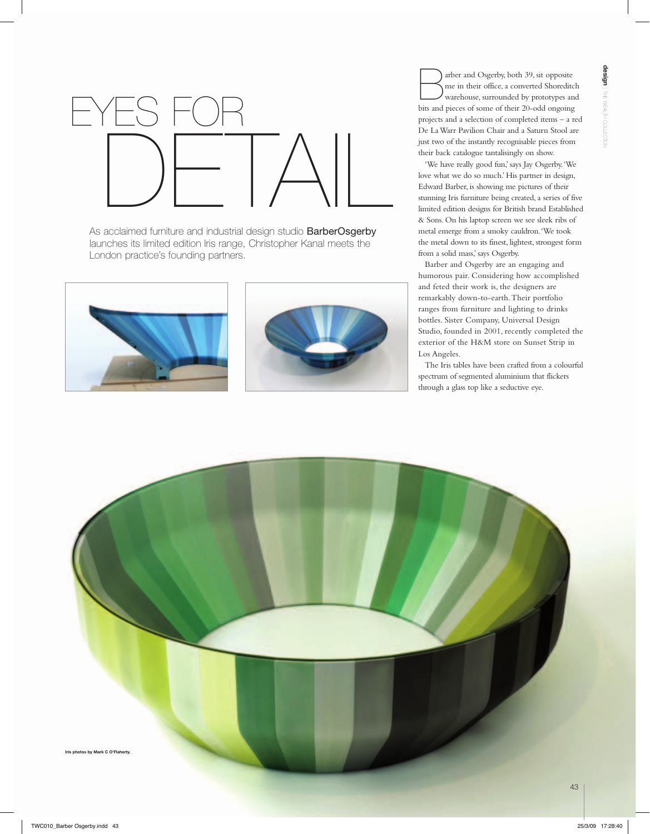

As acclaimed furniture and industrial design studio **BarberOsgerby** launches its limited edition Iris range, Christopher Kanal meets the London practice's founding partners.





arber and Osgerby, both 39, sit opposite me in their office, a converted Shoreditch warehouse, surrounded by prototypes and bits and pieces of some of their 20-odd ongoing projects and a selection of completed items – a red De La Warr Pavilion Chair and a Saturn Stool are just two of the instantly recognisable pieces from their back catalogue tantalisingly on show.

'We have really good fun,' says Jay Osgerby. 'We love what we do so much.' His partner in design, Edward Barber, is showing me pictures of their stunning Iris furniture being created, a series of five limited edition designs for British brand Established & Sons. On his laptop screen we see sleek ribs of metal emerge from a smoky cauldron. 'We took the metal down to its finest, lightest, strongest form from a solid mass,' says Osgerby.

Barber and Osgerby are an engaging and humorous pair. Considering how accomplished and feted their work is, the designers are remarkably down-to-earth. Their portfolio ranges from furniture and lighting to drinks bottles. Sister Company, Universal Design Studio, founded in 2001, recently completed the exterior of the H&M store on Sunset Strip in Los Angeles.

The Iris tables have been crafted from a colourful spectrum of segmented aluminium that flickers through a glass top like a seductive eye.

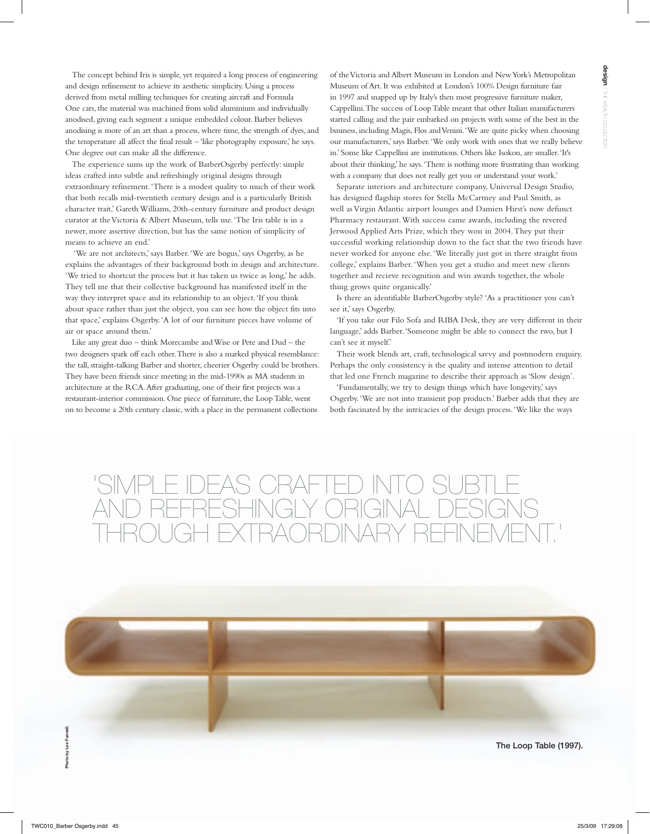The concept behind Iris is simple, yet required a long process of engineering and design refinement to achieve its aesthetic simplicity. Using a process derived from metal milling techniques for creating aircraft and Formula One cars, the material was machined from solid aluminium and individually anodised, giving each segment a unique embedded colour. Barber believes anodising is more of an art than a process, where time, the strength of dyes, and the temperature all affect the final result – 'like photography exposure,' he says. One degree out can make all the difference.

The experience sums up the work of BarberOsgerby perfectly: simple ideas crafted into subtle and refreshingly original designs through extraordinary refinement. 'There is a modest quality to much of their work that both recalls mid-twentieth century design and is a particularly British character trait,' Gareth Williams, 20th-century furniture and product design curator at the Victoria & Albert Museum, tells me. 'The Iris table is in a newer, more assertive direction, but has the same notion of simplicity of means to achieve an end.'

 'We are not architects,' says Barber. 'We are bogus,' says Osgerby, as he explains the advantages of their background both in design and architecture. 'We tried to shortcut the process but it has taken us twice as long,' he adds. They tell me that their collective background has manifested itself in the way they interpret space and its relationship to an object. 'If you think about space rather than just the object, you can see how the object fits into that space,' explains Osgerby. 'A lot of our furniture pieces have volume of air or space around them.'

Like any great duo – think Morecambe and Wise or Pete and Dud – the two designers spark off each other. There is also a marked physical resemblance: the tall, straight-talking Barber and shorter, cheerier Osgerby could be brothers. They have been friends since meeting in the mid-1990s as MA students in architecture at the RCA. After graduating, one of their first projects was a restaurant-interior commission. One piece of furniture, the Loop Table, went on to become a 20th century classic, with a place in the permanent collections

of the Victoria and Albert Museum in London and New York's Metropolitan Museum of Art. It was exhibited at London's 100% Design furniture fair in 1997 and snapped up by Italy's then most progressive furniture maker, Cappellini. The success of Loop Table meant that other Italian manufacturers started calling and the pair embarked on projects with some of the best in the business, including Magis, Flos and Venini. 'We are quite picky when choosing our manufacturers,' says Barber. 'We only work with ones that we really believe in.' Some like Cappellini are institutions. Others like Isokon, are smaller. 'It's about their thinking,' he says. 'There is nothing more frustrating than working with a company that does not really get you or understand your work.'

Separate interiors and architecture company, Universal Design Studio, has designed flagship stores for Stella McCartney and Paul Smith, as well as Virgin Atlantic airport lounges and Damien Hirst's now defunct Pharmacy restaurant. With success came awards, including the revered Jerwood Applied Arts Prize, which they won in 2004. They put their successful working relationship down to the fact that the two friends have never worked for anyone else. 'We literally just got in there straight from college,' explains Barber. 'When you get a studio and meet new clients together and recieve recognition and win awards together, the whole thing grows quite organically.'

Is there an identifiable BarberOsgerby style? 'As a practitioner you can't see it,' says Osgerby.

'If you take our Filo Sofa and RIBA Desk, they are very different in their language,' adds Barber. 'Someone might be able to connect the two, but I can't see it myself.'

Their work blends art, craft, technological savvy and postmodern enquiry. Perhaps the only consistency is the quality and intense attention to detail that led one French magazine to describe their approach as 'Slow design'.

'Fundamentally, we try to design things which have longevity,' says Osgerby. 'We are not into transient pop products.' Barber adds that they are both fascinated by the intricacies of the design process. 'We like the ways

## 'Simple ideas crafted into subtle AND REFRESHINGLY ORIGINAL DESIGN through extraordinary refinement.'